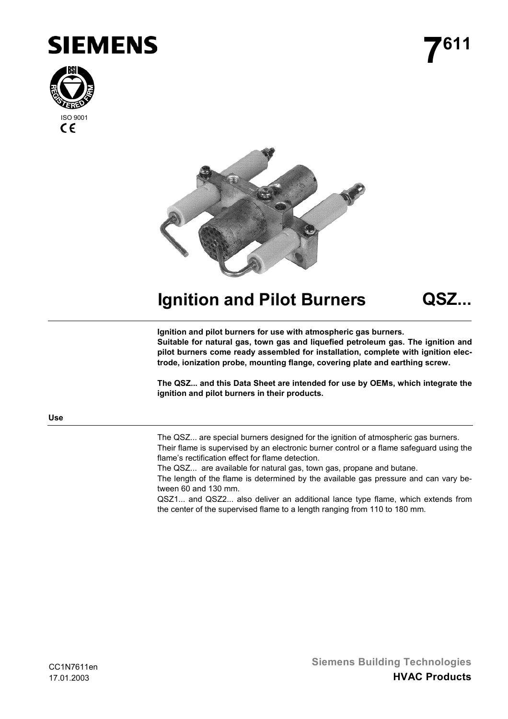





**Ignition and Pilot Burners QSZ...**

**Ignition and pilot burners for use with atmospheric gas burners. Suitable for natural gas, town gas and liquefied petroleum gas. The ignition and pilot burners come ready assembled for installation, complete with ignition electrode, ionization probe, mounting flange, covering plate and earthing screw.**

**The QSZ... and this Data Sheet are intended for use by OEMs, which integrate the ignition and pilot burners in their products.**

**Use**

The QSZ... are special burners designed for the ignition of atmospheric gas burners. Their flame is supervised by an electronic burner control or a flame safeguard using the flame's rectification effect for flame detection.

The QSZ... are available for natural gas, town gas, propane and butane.

The length of the flame is determined by the available gas pressure and can vary between 60 and 130 mm.

QSZ1... and QSZ2... also deliver an additional lance type flame, which extends from the center of the supervised flame to a length ranging from 110 to 180 mm.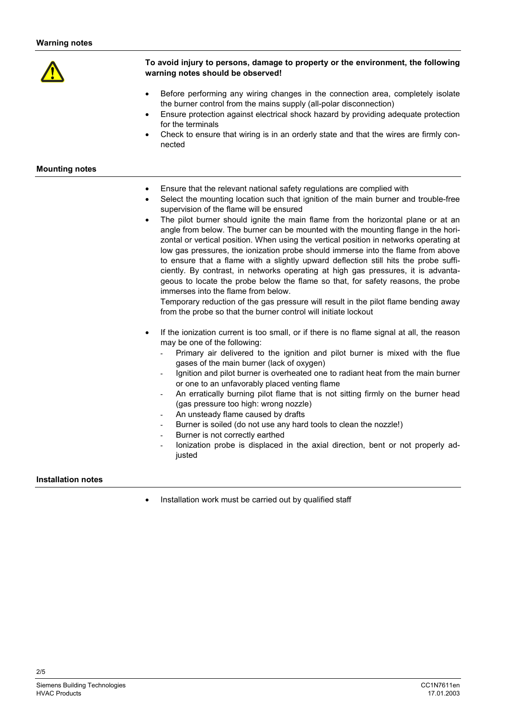

# **To avoid injury to persons, damage to property or the environment, the following warning notes should be observed!**

- Before performing any wiring changes in the connection area, completely isolate the burner control from the mains supply (all-polar disconnection)
- Ensure protection against electrical shock hazard by providing adequate protection for the terminals
- Check to ensure that wiring is in an orderly state and that the wires are firmly connected

## **Mounting notes**

- Ensure that the relevant national safety regulations are complied with
- Select the mounting location such that ignition of the main burner and trouble-free supervision of the flame will be ensured
- The pilot burner should ignite the main flame from the horizontal plane or at an angle from below. The burner can be mounted with the mounting flange in the horizontal or vertical position. When using the vertical position in networks operating at low gas pressures, the ionization probe should immerse into the flame from above to ensure that a flame with a slightly upward deflection still hits the probe sufficiently. By contrast, in networks operating at high gas pressures, it is advantageous to locate the probe below the flame so that, for safety reasons, the probe immerses into the flame from below.

Temporary reduction of the gas pressure will result in the pilot flame bending away from the probe so that the burner control will initiate lockout

- If the ionization current is too small, or if there is no flame signal at all, the reason may be one of the following:
	- Primary air delivered to the ignition and pilot burner is mixed with the flue gases of the main burner (lack of oxygen)
	- Ignition and pilot burner is overheated one to radiant heat from the main burner or one to an unfavorably placed venting flame
	- An erratically burning pilot flame that is not sitting firmly on the burner head (gas pressure too high: wrong nozzle)
	- An unsteady flame caused by drafts
	- Burner is soiled (do not use any hard tools to clean the nozzle!)
	- Burner is not correctly earthed
	- lonization probe is displaced in the axial direction, bent or not properly adiusted

### **Installation notes**

Installation work must be carried out by qualified staff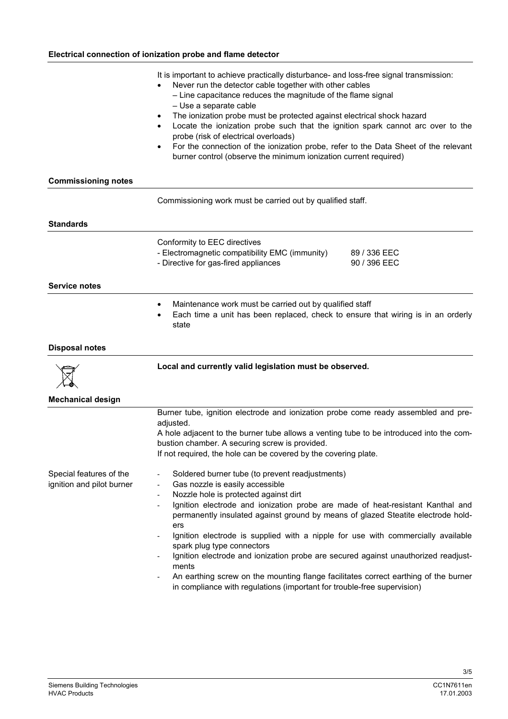|                                                      | It is important to achieve practically disturbance- and loss-free signal transmission:<br>Never run the detector cable together with other cables<br>- Line capacitance reduces the magnitude of the flame signal<br>- Use a separate cable<br>The ionization probe must be protected against electrical shock hazard<br>Locate the ionization probe such that the ignition spark cannot arc over to the<br>probe (risk of electrical overloads)<br>For the connection of the ionization probe, refer to the Data Sheet of the relevant<br>$\bullet$<br>burner control (observe the minimum ionization current required)                                                                                                                                                                                                              |  |  |  |
|------------------------------------------------------|---------------------------------------------------------------------------------------------------------------------------------------------------------------------------------------------------------------------------------------------------------------------------------------------------------------------------------------------------------------------------------------------------------------------------------------------------------------------------------------------------------------------------------------------------------------------------------------------------------------------------------------------------------------------------------------------------------------------------------------------------------------------------------------------------------------------------------------|--|--|--|
| <b>Commissioning notes</b>                           |                                                                                                                                                                                                                                                                                                                                                                                                                                                                                                                                                                                                                                                                                                                                                                                                                                       |  |  |  |
|                                                      | Commissioning work must be carried out by qualified staff.                                                                                                                                                                                                                                                                                                                                                                                                                                                                                                                                                                                                                                                                                                                                                                            |  |  |  |
| <b>Standards</b>                                     |                                                                                                                                                                                                                                                                                                                                                                                                                                                                                                                                                                                                                                                                                                                                                                                                                                       |  |  |  |
|                                                      | Conformity to EEC directives<br>- Electromagnetic compatibility EMC (immunity)<br>89 / 336 EEC<br>- Directive for gas-fired appliances<br>90 / 396 EEC                                                                                                                                                                                                                                                                                                                                                                                                                                                                                                                                                                                                                                                                                |  |  |  |
| <b>Service notes</b>                                 |                                                                                                                                                                                                                                                                                                                                                                                                                                                                                                                                                                                                                                                                                                                                                                                                                                       |  |  |  |
|                                                      | Maintenance work must be carried out by qualified staff<br>٠<br>Each time a unit has been replaced, check to ensure that wiring is in an orderly<br>state                                                                                                                                                                                                                                                                                                                                                                                                                                                                                                                                                                                                                                                                             |  |  |  |
| <b>Disposal notes</b>                                |                                                                                                                                                                                                                                                                                                                                                                                                                                                                                                                                                                                                                                                                                                                                                                                                                                       |  |  |  |
|                                                      | Local and currently valid legislation must be observed.                                                                                                                                                                                                                                                                                                                                                                                                                                                                                                                                                                                                                                                                                                                                                                               |  |  |  |
| <b>Mechanical design</b>                             |                                                                                                                                                                                                                                                                                                                                                                                                                                                                                                                                                                                                                                                                                                                                                                                                                                       |  |  |  |
|                                                      | Burner tube, ignition electrode and ionization probe come ready assembled and pre-<br>adjusted.                                                                                                                                                                                                                                                                                                                                                                                                                                                                                                                                                                                                                                                                                                                                       |  |  |  |
|                                                      | A hole adjacent to the burner tube allows a venting tube to be introduced into the com-<br>bustion chamber. A securing screw is provided.<br>If not required, the hole can be covered by the covering plate.                                                                                                                                                                                                                                                                                                                                                                                                                                                                                                                                                                                                                          |  |  |  |
| Special features of the<br>ignition and pilot burner | Soldered burner tube (to prevent readjustments)<br>$\overline{a}$<br>Gas nozzle is easily accessible<br>$\qquad \qquad \blacksquare$<br>Nozzle hole is protected against dirt<br>$\overline{\phantom{a}}$<br>Ignition electrode and ionization probe are made of heat-resistant Kanthal and<br>$\overline{\phantom{a}}$<br>permanently insulated against ground by means of glazed Steatite electrode hold-<br>ers<br>Ignition electrode is supplied with a nipple for use with commercially available<br>$\qquad \qquad \blacksquare$<br>spark plug type connectors<br>Ignition electrode and ionization probe are secured against unauthorized readjust-<br>ments<br>An earthing screw on the mounting flange facilitates correct earthing of the burner<br>in compliance with regulations (important for trouble-free supervision) |  |  |  |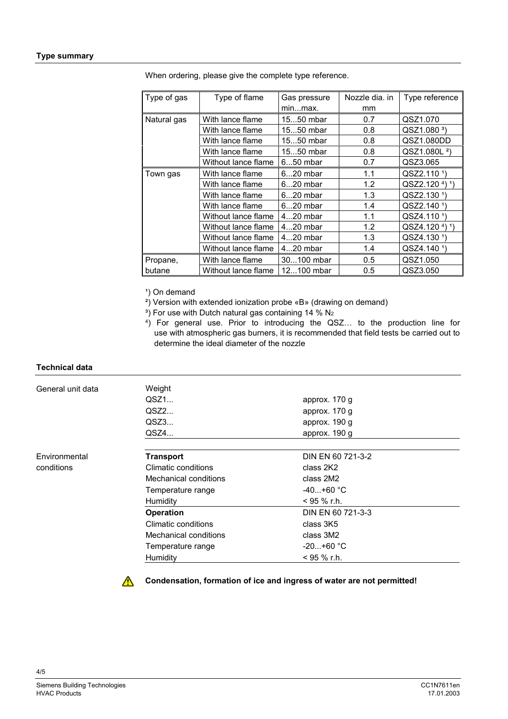| Type of gas | Type of flame       | Gas pressure | Nozzle dia, in | Type reference                         |
|-------------|---------------------|--------------|----------------|----------------------------------------|
|             |                     | minmax.      | mm             |                                        |
| Natural gas | With lance flame    | 1550 mbar    | 0.7            | QSZ1.070                               |
|             | With lance flame    | 1550 mbar    | 0.8            | QSZ1.080 <sup>3</sup>                  |
|             | With lance flame    | 1550 mbar    | 0.8            | QSZ1.080DD                             |
|             | With lance flame    | 1550 mbar    | 0.8            | QSZ1.080L <sup>2</sup> )               |
|             | Without lance flame | 650 mbar     | 0.7            | QSZ3.065                               |
| Town gas    | With lance flame    | 620 mbar     | 1.1            | QSZ2.110 <sup>1</sup> )                |
|             | With lance flame    | 620 mbar     | 1.2            | $QSZ2.1204$ <sup>1</sup> )             |
|             | With lance flame    | 620 mbar     | 1.3            | QSZ2.130 <sup>1</sup> )                |
|             | With lance flame    | 620 mbar     | 1.4            | QSZ2.140 <sup>1</sup> )                |
|             | Without lance flame | $420$ mbar   | 1.1            | QSZ4.110 <sup>1</sup> )                |
|             | Without lance flame | $420$ mbar   | 1.2            | QSZ4.120 <sup>4</sup> ) <sup>1</sup> ) |
|             | Without lance flame | 420 mbar     | 1.3            | QSZ4.130 <sup>1</sup> )                |
|             | Without lance flame | 420 mbar     | 1.4            | QSZ4.140 <sup>1</sup> )                |
| Propane,    | With lance flame    | 30100 mbar   | 0.5            | QSZ1.050                               |
| butane      | Without lance flame | 12100 mbar   | 0.5            | QSZ3.050                               |

When ordering, please give the complete type reference.

<sup>1</sup>) On demand

²) Version with extended ionization probe «B» (drawing on demand)

 $3)$  For use with Dutch natural gas containing 14 % N<sub>2</sub>

4) For general use. Prior to introducing the QSZ… to the production line for use with atmospheric gas burners, it is recommended that field tests be carried out to determine the ideal diameter of the nozzle

#### **Technical data**

| General unit data | Weight                |                   |  |
|-------------------|-----------------------|-------------------|--|
|                   | QSZ1                  | approx. 170 g     |  |
|                   | OSZ2                  | approx. 170 g     |  |
|                   | QSZ3                  | approx. 190 g     |  |
|                   | QSZ4                  | approx. 190 g     |  |
|                   |                       |                   |  |
| Environmental     | <b>Transport</b>      | DIN EN 60 721-3-2 |  |
| conditions        | Climatic conditions   | class 2K2         |  |
|                   | Mechanical conditions | class 2M2         |  |
|                   | Temperature range     | $-40+60$ °C       |  |
|                   | Humidity              | $<$ 95 % r.h.     |  |
|                   | <b>Operation</b>      | DIN EN 60 721-3-3 |  |
|                   | Climatic conditions   | class 3K5         |  |
|                   | Mechanical conditions | class 3M2         |  |
|                   | Temperature range     | $-20+60 °C$       |  |
|                   | Humidity              | $< 95 \%$ r.h.    |  |

**Condensation, formation of ice and ingress of water are not permitted!**

 $\bigwedge$